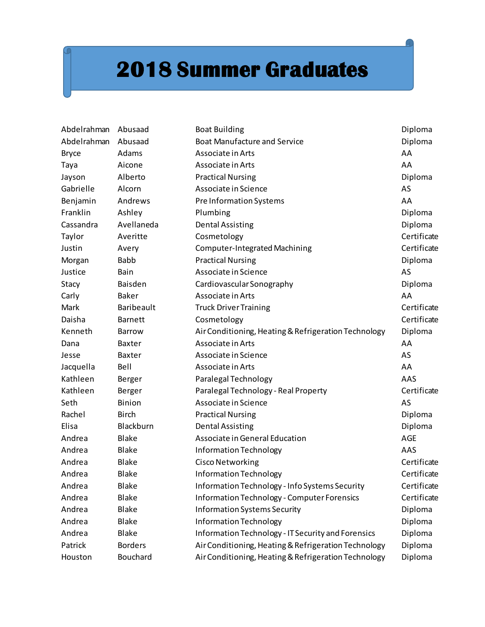## **2018 Summer Graduates**

| Abdelrahman  | Abusaad           | <b>Boat Building</b>                                 | Diploma     |
|--------------|-------------------|------------------------------------------------------|-------------|
| Abdelrahman  | Abusaad           | <b>Boat Manufacture and Service</b>                  | Diploma     |
| <b>Bryce</b> | Adams             | Associate in Arts                                    | AA          |
| Taya         | Aicone            | Associate in Arts                                    | AA          |
| Jayson       | Alberto           | <b>Practical Nursing</b>                             | Diploma     |
| Gabrielle    | Alcorn            | Associate in Science                                 | AS          |
| Benjamin     | Andrews           | Pre Information Systems                              | AA          |
| Franklin     | Ashley            | Plumbing                                             | Diploma     |
| Cassandra    | Avellaneda        | <b>Dental Assisting</b>                              | Diploma     |
| Taylor       | Averitte          | Cosmetology                                          | Certificate |
| Justin       | Avery             | Computer-Integrated Machining                        | Certificate |
| Morgan       | <b>Babb</b>       | <b>Practical Nursing</b>                             | Diploma     |
| Justice      | Bain              | Associate in Science                                 | AS          |
| Stacy        | Baisden           | Cardiovascular Sonography                            | Diploma     |
| Carly        | <b>Baker</b>      | Associate in Arts                                    | AA          |
| Mark         | <b>Baribeault</b> | <b>Truck Driver Training</b>                         | Certificate |
| Daisha       | <b>Barnett</b>    | Cosmetology                                          | Certificate |
| Kenneth      | <b>Barrow</b>     | Air Conditioning, Heating & Refrigeration Technology | Diploma     |
| Dana         | <b>Baxter</b>     | Associate in Arts                                    | AA          |
| Jesse        | <b>Baxter</b>     | Associate in Science                                 | AS          |
| Jacquella    | Bell              | Associate in Arts                                    | AA          |
| Kathleen     | Berger            | Paralegal Technology                                 | AAS         |
| Kathleen     | Berger            | Paralegal Technology - Real Property                 | Certificate |
| Seth         | Binion            | Associate in Science                                 | AS          |
| Rachel       | <b>Birch</b>      | <b>Practical Nursing</b>                             | Diploma     |
| Elisa        | Blackburn         | <b>Dental Assisting</b>                              | Diploma     |
| Andrea       | <b>Blake</b>      | Associate in General Education                       | <b>AGE</b>  |
| Andrea       | <b>Blake</b>      | Information Technology                               | AAS         |
| Andrea       | <b>Blake</b>      | <b>Cisco Networking</b>                              | Certificate |
| Andrea       | <b>Blake</b>      | Information Technology                               | Certificate |
| Andrea       | <b>Blake</b>      | Information Technology - Info Systems Security       | Certificate |
| Andrea       | Blake             | <b>Information Technology - Computer Forensics</b>   | Certificate |
| Andrea       | <b>Blake</b>      | Information Systems Security                         | Diploma     |
| Andrea       | <b>Blake</b>      | Information Technology                               | Diploma     |
| Andrea       | <b>Blake</b>      | Information Technology - IT Security and Forensics   | Diploma     |
| Patrick      | <b>Borders</b>    | Air Conditioning, Heating & Refrigeration Technology | Diploma     |
| Houston      | Bouchard          | Air Conditioning, Heating & Refrigeration Technology | Diploma     |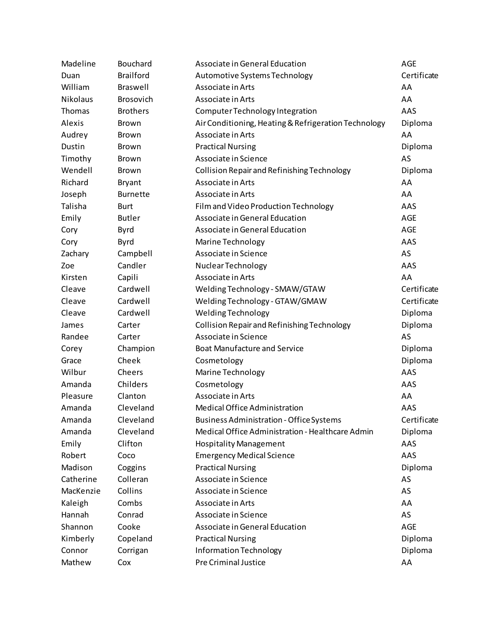| Madeline  | Bouchard         | Associate in General Education                       | <b>AGE</b>  |
|-----------|------------------|------------------------------------------------------|-------------|
| Duan      | <b>Brailford</b> | Automotive Systems Technology                        | Certificate |
| William   | Braswell         | Associate in Arts                                    | AA          |
| Nikolaus  | <b>Brosovich</b> | Associate in Arts                                    | AA          |
| Thomas    | <b>Brothers</b>  | Computer Technology Integration                      | AAS         |
| Alexis    | Brown            | Air Conditioning, Heating & Refrigeration Technology | Diploma     |
| Audrey    | Brown            | Associate in Arts                                    | AA          |
| Dustin    | Brown            | <b>Practical Nursing</b>                             | Diploma     |
| Timothy   | Brown            | Associate in Science                                 | AS          |
| Wendell   | Brown            | Collision Repair and Refinishing Technology          | Diploma     |
| Richard   | <b>Bryant</b>    | Associate in Arts                                    | AA          |
| Joseph    | <b>Burnette</b>  | Associate in Arts                                    | AA          |
| Talisha   | Burt             | Film and Video Production Technology                 | AAS         |
| Emily     | <b>Butler</b>    | Associate in General Education                       | AGE         |
| Cory      | <b>Byrd</b>      | Associate in General Education                       | AGE         |
| Cory      | Byrd             | Marine Technology                                    | AAS         |
| Zachary   | Campbell         | Associate in Science                                 | AS          |
| Zoe       | Candler          | Nuclear Technology                                   | AAS         |
| Kirsten   | Capili           | Associate in Arts                                    | AA          |
| Cleave    | Cardwell         | Welding Technology - SMAW/GTAW                       | Certificate |
| Cleave    | Cardwell         | Welding Technology - GTAW/GMAW                       | Certificate |
| Cleave    | Cardwell         | Welding Technology                                   | Diploma     |
| James     | Carter           | Collision Repair and Refinishing Technology          | Diploma     |
| Randee    | Carter           | Associate in Science                                 | AS          |
| Corey     | Champion         | <b>Boat Manufacture and Service</b>                  | Diploma     |
| Grace     | Cheek            | Cosmetology                                          | Diploma     |
| Wilbur    | Cheers           | Marine Technology                                    | AAS         |
| Amanda    | Childers         | Cosmetology                                          | AAS         |
| Pleasure  | Clanton          | Associate in Arts                                    | AA          |
| Amanda    | Cleveland        | Medical Office Administration                        | AAS         |
| Amanda    | Cleveland        | <b>Business Administration - Office Systems</b>      | Certificate |
| Amanda    | Cleveland        | Medical Office Administration - Healthcare Admin     | Diploma     |
| Emily     | Clifton          | <b>Hospitality Management</b>                        | AAS         |
| Robert    | Coco             | <b>Emergency Medical Science</b>                     | AAS         |
| Madison   | Coggins          | <b>Practical Nursing</b>                             | Diploma     |
| Catherine | Colleran         | Associate in Science                                 | AS          |
| MacKenzie | Collins          | Associate in Science                                 | AS          |
| Kaleigh   | Combs            | Associate in Arts                                    | AA          |
| Hannah    | Conrad           | Associate in Science                                 | AS          |
| Shannon   | Cooke            | Associate in General Education                       | <b>AGE</b>  |
| Kimberly  | Copeland         | <b>Practical Nursing</b>                             | Diploma     |
| Connor    | Corrigan         | Information Technology                               | Diploma     |
| Mathew    | Cox              | Pre Criminal Justice                                 | AA          |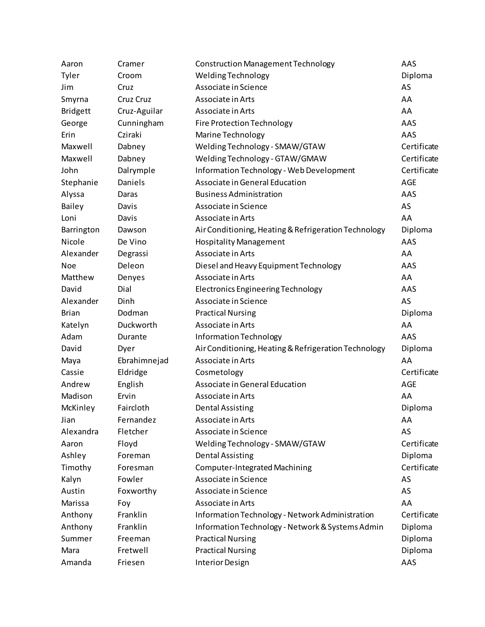| Aaron           | Cramer       | Construction Management Technology                   | AAS         |
|-----------------|--------------|------------------------------------------------------|-------------|
| Tyler           | Croom        | Welding Technology                                   | Diploma     |
| Jim             | Cruz         | Associate in Science                                 | AS          |
| Smyrna          | Cruz Cruz    | Associate in Arts                                    | AA          |
| <b>Bridgett</b> | Cruz-Aguilar | Associate in Arts                                    | AA          |
| George          | Cunningham   | <b>Fire Protection Technology</b>                    | AAS         |
| Erin            | Cziraki      | Marine Technology                                    | AAS         |
| Maxwell         | Dabney       | Welding Technology - SMAW/GTAW                       | Certificate |
| Maxwell         | Dabney       | Welding Technology - GTAW/GMAW                       | Certificate |
| John            | Dalrymple    | Information Technology - Web Development             | Certificate |
| Stephanie       | Daniels      | Associate in General Education                       | <b>AGE</b>  |
| Alyssa          | Daras        | <b>Business Administration</b>                       | AAS         |
| Bailey          | Davis        | Associate in Science                                 | AS          |
| Loni            | Davis        | Associate in Arts                                    | AA          |
| Barrington      | Dawson       | Air Conditioning, Heating & Refrigeration Technology | Diploma     |
| Nicole          | De Vino      | <b>Hospitality Management</b>                        | AAS         |
| Alexander       | Degrassi     | Associate in Arts                                    | AA          |
| <b>Noe</b>      | Deleon       | Diesel and Heavy Equipment Technology                | AAS         |
| Matthew         | Denyes       | Associate in Arts                                    | AA          |
| David           | Dial         | <b>Electronics Engineering Technology</b>            | AAS         |
| Alexander       | Dinh         | Associate in Science                                 | AS          |
| <b>Brian</b>    | Dodman       | <b>Practical Nursing</b>                             | Diploma     |
| Katelyn         | Duckworth    | Associate in Arts                                    | AA          |
| Adam            | Durante      | Information Technology                               | AAS         |
| David           | Dyer         | Air Conditioning, Heating & Refrigeration Technology | Diploma     |
| Maya            | Ebrahimnejad | Associate in Arts                                    | AA          |
| Cassie          | Eldridge     | Cosmetology                                          | Certificate |
| Andrew          | English      | Associate in General Education                       | <b>AGE</b>  |
| Madison         | Ervin        | Associate in Arts                                    | AA          |
| McKinley        | Faircloth    | <b>Dental Assisting</b>                              | Diploma     |
| Jian            | Fernandez    | Associate in Arts                                    | AA          |
| Alexandra       | Fletcher     | Associate in Science                                 | AS          |
| Aaron           | Floyd        | Welding Technology - SMAW/GTAW                       | Certificate |
| Ashley          | Foreman      | <b>Dental Assisting</b>                              | Diploma     |
| Timothy         | Foresman     | <b>Computer-Integrated Machining</b>                 | Certificate |
| Kalyn           | Fowler       | Associate in Science                                 | AS          |
| Austin          | Foxworthy    | Associate in Science                                 | AS          |
| Marissa         | Foy          | Associate in Arts                                    | AA          |
| Anthony         | Franklin     | Information Technology - Network Administration      | Certificate |
| Anthony         | Franklin     | Information Technology - Network & Systems Admin     | Diploma     |
| Summer          | Freeman      | <b>Practical Nursing</b>                             | Diploma     |
| Mara            | Fretwell     | <b>Practical Nursing</b>                             | Diploma     |
| Amanda          | Friesen      | <b>Interior Design</b>                               | AAS         |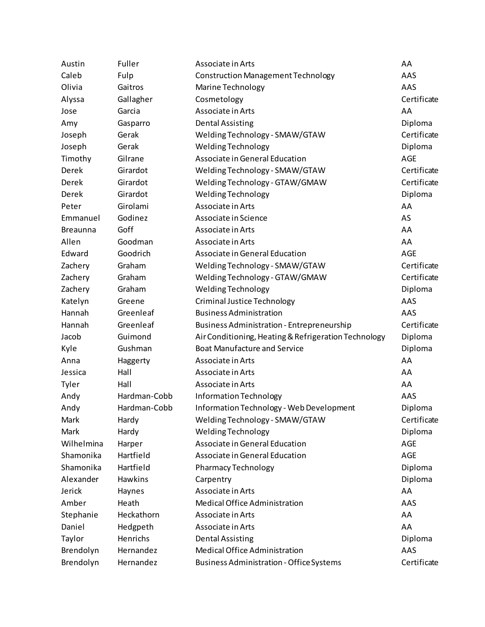| Austin          | Fuller       | Associate in Arts                                    | AA          |
|-----------------|--------------|------------------------------------------------------|-------------|
| Caleb           | Fulp         | <b>Construction Management Technology</b>            | AAS         |
| Olivia          | Gaitros      | Marine Technology                                    | AAS         |
| Alyssa          | Gallagher    | Cosmetology                                          | Certificate |
| Jose            | Garcia       | Associate in Arts                                    | AA          |
| Amy             | Gasparro     | <b>Dental Assisting</b>                              | Diploma     |
| Joseph          | Gerak        | Welding Technology - SMAW/GTAW                       | Certificate |
| Joseph          | Gerak        | <b>Welding Technology</b>                            | Diploma     |
| Timothy         | Gilrane      | Associate in General Education                       | AGE         |
| Derek           | Girardot     | Welding Technology - SMAW/GTAW                       | Certificate |
| Derek           | Girardot     | Welding Technology - GTAW/GMAW                       | Certificate |
| Derek           | Girardot     | <b>Welding Technology</b>                            | Diploma     |
| Peter           | Girolami     | Associate in Arts                                    | AA          |
| Emmanuel        | Godinez      | Associate in Science                                 | AS          |
| <b>Breaunna</b> | Goff         | Associate in Arts                                    | AA          |
| Allen           | Goodman      | Associate in Arts                                    | AA          |
| Edward          | Goodrich     | Associate in General Education                       | <b>AGE</b>  |
| Zachery         | Graham       | Welding Technology - SMAW/GTAW                       | Certificate |
| Zachery         | Graham       | Welding Technology - GTAW/GMAW                       | Certificate |
| Zachery         | Graham       | Welding Technology                                   | Diploma     |
| Katelyn         | Greene       | Criminal Justice Technology                          | AAS         |
| Hannah          | Greenleaf    | <b>Business Administration</b>                       | AAS         |
| Hannah          | Greenleaf    | <b>Business Administration - Entrepreneurship</b>    | Certificate |
| Jacob           | Guimond      | Air Conditioning, Heating & Refrigeration Technology | Diploma     |
| Kyle            | Gushman      | <b>Boat Manufacture and Service</b>                  | Diploma     |
| Anna            | Haggerty     | Associate in Arts                                    | AA          |
| Jessica         | Hall         | Associate in Arts                                    | AA          |
| Tyler           | Hall         | Associate in Arts                                    | AA          |
| Andy            | Hardman-Cobb | Information Technology                               | AAS         |
| Andy            | Hardman-Cobb | Information Technology - Web Development             | Diploma     |
| Mark            | Hardy        | Welding Technology - SMAW/GTAW                       | Certificate |
| <b>Mark</b>     | Hardy        | <b>Welding Technology</b>                            | Diploma     |
| Wilhelmina      | Harper       | Associate in General Education                       | AGE         |
| Shamonika       | Hartfield    | Associate in General Education                       | <b>AGE</b>  |
| Shamonika       | Hartfield    | <b>Pharmacy Technology</b>                           | Diploma     |
| Alexander       | Hawkins      | Carpentry                                            | Diploma     |
| Jerick          | Haynes       | Associate in Arts                                    | AA          |
| Amber           | Heath        | <b>Medical Office Administration</b>                 | AAS         |
| Stephanie       | Heckathorn   | Associate in Arts                                    | AA          |
| Daniel          | Hedgpeth     | Associate in Arts                                    | AA          |
| Taylor          | Henrichs     | <b>Dental Assisting</b>                              | Diploma     |
| Brendolyn       | Hernandez    | Medical Office Administration                        | AAS         |
| Brendolyn       | Hernandez    | <b>Business Administration - Office Systems</b>      | Certificate |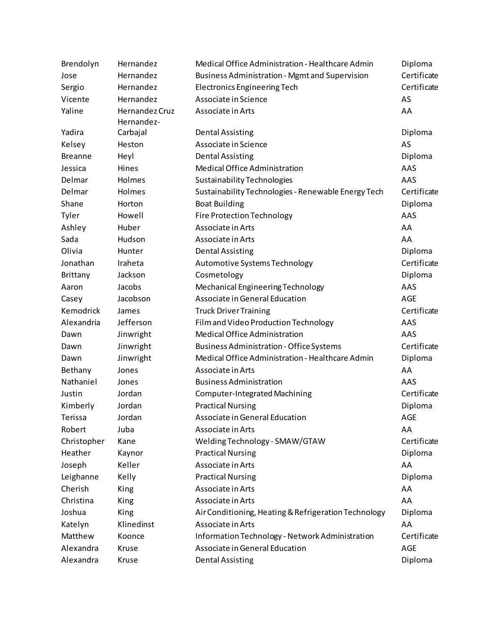| Brendolyn      | Hernandez                    | Medical Office Administration - Healthcare Admin      | Diploma     |
|----------------|------------------------------|-------------------------------------------------------|-------------|
| Jose           | Hernandez                    | <b>Business Administration - Mgmt and Supervision</b> | Certificate |
| Sergio         | Hernandez                    | <b>Electronics Engineering Tech</b>                   | Certificate |
| Vicente        | Hernandez                    | Associate in Science                                  | AS          |
| Yaline         | Hernandez Cruz<br>Hernandez- | Associate in Arts                                     | AA          |
| Yadira         | Carbajal                     | <b>Dental Assisting</b>                               | Diploma     |
| Kelsey         | Heston                       | Associate in Science                                  | AS          |
| <b>Breanne</b> | Heyl                         | <b>Dental Assisting</b>                               | Diploma     |
| Jessica        | Hines                        | Medical Office Administration                         | AAS         |
| Delmar         | Holmes                       | Sustainability Technologies                           | AAS         |
| Delmar         | Holmes                       | Sustainability Technologies - Renewable Energy Tech   | Certificate |
| Shane          | Horton                       | <b>Boat Building</b>                                  | Diploma     |
| Tyler          | Howell                       | <b>Fire Protection Technology</b>                     | AAS         |
| Ashley         | Huber                        | Associate in Arts                                     | AA          |
| Sada           | Hudson                       | Associate in Arts                                     | AA          |
| Olivia         | Hunter                       | <b>Dental Assisting</b>                               | Diploma     |
| Jonathan       | Iraheta                      | Automotive Systems Technology                         | Certificate |
| Brittany       | Jackson                      | Cosmetology                                           | Diploma     |
| Aaron          | Jacobs                       | Mechanical Engineering Technology                     | AAS         |
| Casey          | Jacobson                     | Associate in General Education                        | <b>AGE</b>  |
| Kemodrick      | James                        | <b>Truck Driver Training</b>                          | Certificate |
| Alexandria     | Jefferson                    | Film and Video Production Technology                  | AAS         |
| Dawn           | Jinwright                    | <b>Medical Office Administration</b>                  | AAS         |
| Dawn           | Jinwright                    | <b>Business Administration - Office Systems</b>       | Certificate |
| Dawn           | Jinwright                    | Medical Office Administration - Healthcare Admin      | Diploma     |
| Bethany        | Jones                        | Associate in Arts                                     | AA          |
| Nathaniel      | Jones                        | <b>Business Administration</b>                        | AAS         |
| Justin         | Jordan                       | Computer-Integrated Machining                         | Certificate |
| Kimberly       | Jordan                       | <b>Practical Nursing</b>                              | Diploma     |
| Terissa        | Jordan                       | Associate in General Education                        | AGE         |
| Robert         | Juba                         | Associate in Arts                                     | AA          |
| Christopher    | Kane                         | Welding Technology - SMAW/GTAW                        | Certificate |
| Heather        | Kaynor                       | <b>Practical Nursing</b>                              | Diploma     |
| Joseph         | Keller                       | Associate in Arts                                     | AA          |
| Leighanne      | Kelly                        | <b>Practical Nursing</b>                              | Diploma     |
| Cherish        | King                         | Associate in Arts                                     | AA          |
| Christina      | King                         | Associate in Arts                                     | AA          |
| Joshua         | King                         | Air Conditioning, Heating & Refrigeration Technology  | Diploma     |
| Katelyn        | Klinedinst                   | Associate in Arts                                     | AA          |
| Matthew        | Koonce                       | Information Technology - Network Administration       | Certificate |
| Alexandra      | Kruse                        | Associate in General Education                        | AGE         |
| Alexandra      | Kruse                        | <b>Dental Assisting</b>                               | Diploma     |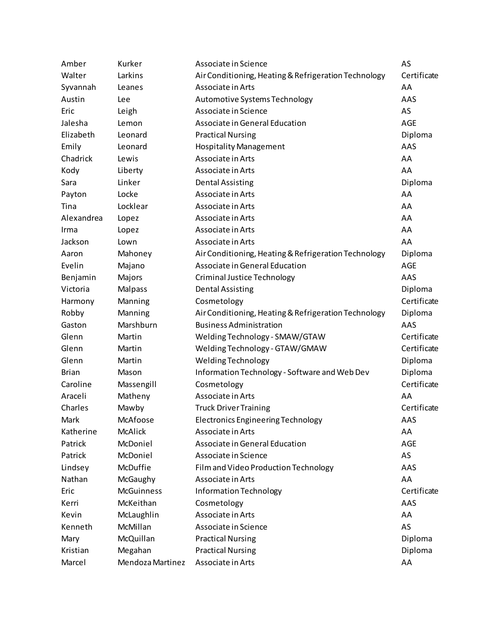| Amber        | Kurker            | Associate in Science                                 | AS          |
|--------------|-------------------|------------------------------------------------------|-------------|
| Walter       | Larkins           | Air Conditioning, Heating & Refrigeration Technology | Certificate |
| Syvannah     | Leanes            | Associate in Arts                                    | AA          |
| Austin       | Lee               | Automotive Systems Technology                        | AAS         |
| Eric         | Leigh             | Associate in Science                                 | AS          |
| Jalesha      | Lemon             | Associate in General Education                       | AGE         |
| Elizabeth    | Leonard           | <b>Practical Nursing</b>                             | Diploma     |
| Emily        | Leonard           | <b>Hospitality Management</b>                        | AAS         |
| Chadrick     | Lewis             | Associate in Arts                                    | AA          |
| Kody         | Liberty           | Associate in Arts                                    | AA          |
| Sara         | Linker            | <b>Dental Assisting</b>                              | Diploma     |
| Payton       | Locke             | Associate in Arts                                    | AA          |
| Tina         | Locklear          | Associate in Arts                                    | AA          |
| Alexandrea   | Lopez             | Associate in Arts                                    | AA          |
| Irma         | Lopez             | Associate in Arts                                    | AA          |
| Jackson      | Lown              | Associate in Arts                                    | AA          |
| Aaron        | Mahoney           | Air Conditioning, Heating & Refrigeration Technology | Diploma     |
| Evelin       | Majano            | Associate in General Education                       | AGE         |
| Benjamin     | Majors            | Criminal Justice Technology                          | AAS         |
| Victoria     | Malpass           | <b>Dental Assisting</b>                              | Diploma     |
| Harmony      | Manning           | Cosmetology                                          | Certificate |
| Robby        | Manning           | Air Conditioning, Heating & Refrigeration Technology | Diploma     |
| Gaston       | Marshburn         | <b>Business Administration</b>                       | AAS         |
| Glenn        | Martin            | Welding Technology - SMAW/GTAW                       | Certificate |
| Glenn        | Martin            | Welding Technology - GTAW/GMAW                       | Certificate |
| Glenn        | Martin            | Welding Technology                                   | Diploma     |
| <b>Brian</b> | Mason             | Information Technology - Software and Web Dev        | Diploma     |
| Caroline     | Massengill        | Cosmetology                                          | Certificate |
| Araceli      | Matheny           | Associate in Arts                                    | AA          |
| Charles      | Mawby             | <b>Truck Driver Training</b>                         | Certificate |
| Mark         | McAfoose          | Electronics Engineering Technology                   | AAS         |
| Katherine    | <b>McAlick</b>    | Associate in Arts                                    | AA          |
| Patrick      | McDoniel          | Associate in General Education                       | <b>AGE</b>  |
| Patrick      | McDoniel          | Associate in Science                                 | AS          |
| Lindsey      | McDuffie          | Film and Video Production Technology                 | AAS         |
| Nathan       | McGaughy          | Associate in Arts                                    | AA          |
| Eric         | <b>McGuinness</b> | Information Technology                               | Certificate |
| Kerri        | McKeithan         | Cosmetology                                          | AAS         |
| Kevin        | McLaughlin        | Associate in Arts                                    | AA          |
| Kenneth      | McMillan          | Associate in Science                                 | AS          |
| Mary         | McQuillan         | <b>Practical Nursing</b>                             | Diploma     |
| Kristian     | Megahan           | <b>Practical Nursing</b>                             | Diploma     |
| Marcel       | Mendoza Martinez  | Associate in Arts                                    | AA          |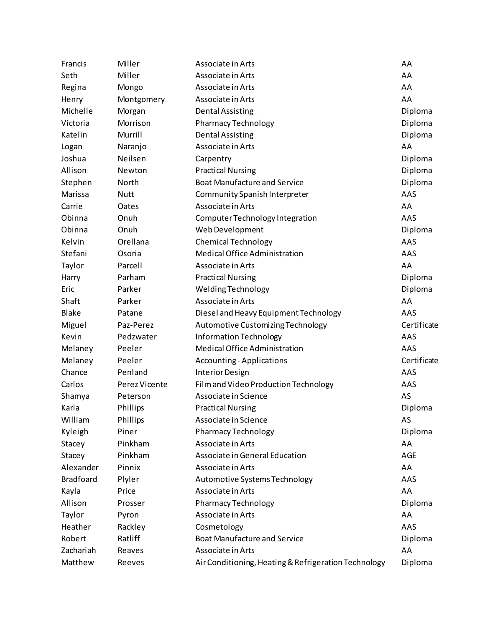| Francis          | Miller        | Associate in Arts                                    | AA          |
|------------------|---------------|------------------------------------------------------|-------------|
| Seth             | Miller        | Associate in Arts                                    | AA          |
| Regina           | Mongo         | Associate in Arts                                    | AA          |
| Henry            | Montgomery    | Associate in Arts                                    | AA          |
| Michelle         | Morgan        | <b>Dental Assisting</b>                              | Diploma     |
| Victoria         | Morrison      | <b>Pharmacy Technology</b>                           | Diploma     |
| Katelin          | Murrill       | <b>Dental Assisting</b>                              | Diploma     |
| Logan            | Naranjo       | Associate in Arts                                    | AA          |
| Joshua           | Neilsen       | Carpentry                                            | Diploma     |
| Allison          | Newton        | <b>Practical Nursing</b>                             | Diploma     |
| Stephen          | North         | <b>Boat Manufacture and Service</b>                  | Diploma     |
| Marissa          | <b>Nutt</b>   | Community Spanish Interpreter                        | AAS         |
| Carrie           | Oates         | Associate in Arts                                    | AA          |
| Obinna           | Onuh          | Computer Technology Integration                      | AAS         |
| Obinna           | Onuh          | Web Development                                      | Diploma     |
| Kelvin           | Orellana      | <b>Chemical Technology</b>                           | AAS         |
| Stefani          | Osoria        | Medical Office Administration                        | AAS         |
| Taylor           | Parcell       | Associate in Arts                                    | AA          |
| Harry            | Parham        | <b>Practical Nursing</b>                             | Diploma     |
| Eric             | Parker        | <b>Welding Technology</b>                            | Diploma     |
| Shaft            | Parker        | Associate in Arts                                    | AA          |
| <b>Blake</b>     | Patane        | Diesel and Heavy Equipment Technology                | AAS         |
| Miguel           | Paz-Perez     | Automotive Customizing Technology                    | Certificate |
| Kevin            | Pedzwater     | Information Technology                               | AAS         |
| Melaney          | Peeler        | Medical Office Administration                        | AAS         |
| Melaney          | Peeler        | <b>Accounting - Applications</b>                     | Certificate |
| Chance           | Penland       | <b>Interior Design</b>                               | AAS         |
| Carlos           | Perez Vicente | Film and Video Production Technology                 | AAS         |
| Shamya           | Peterson      | Associate in Science                                 | AS          |
| Karla            | Phillips      | <b>Practical Nursing</b>                             | Diploma     |
| William          | Phillips      | Associate in Science                                 | AS          |
| Kyleigh          | Piner         | <b>Pharmacy Technology</b>                           | Diploma     |
| Stacey           | Pinkham       | Associate in Arts                                    | AA          |
| Stacey           | Pinkham       | Associate in General Education                       | AGE         |
| Alexander        | Pinnix        | Associate in Arts                                    | AA          |
| <b>Bradfoard</b> | Plyler        | Automotive Systems Technology                        | AAS         |
| Kayla            | Price         | Associate in Arts                                    | AA          |
| Allison          | Prosser       | <b>Pharmacy Technology</b>                           | Diploma     |
| Taylor           | Pyron         | Associate in Arts                                    | AA          |
| Heather          | Rackley       | Cosmetology                                          | AAS         |
| Robert           | Ratliff       | <b>Boat Manufacture and Service</b>                  | Diploma     |
| Zachariah        | Reaves        | Associate in Arts                                    | AA          |
| Matthew          | Reeves        | Air Conditioning, Heating & Refrigeration Technology | Diploma     |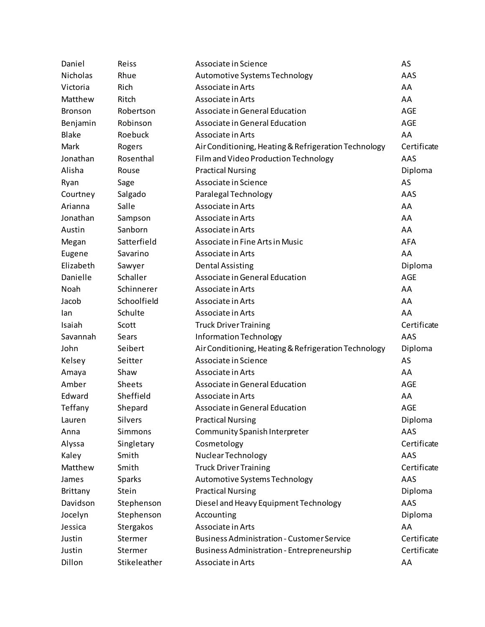| Daniel          | Reiss         | Associate in Science                                 | AS          |
|-----------------|---------------|------------------------------------------------------|-------------|
| Nicholas        | Rhue          | Automotive Systems Technology                        | AAS         |
| Victoria        | Rich          | Associate in Arts                                    | AA          |
| Matthew         | Ritch         | Associate in Arts                                    | AA          |
| <b>Bronson</b>  | Robertson     | Associate in General Education                       | AGE         |
| Benjamin        | Robinson      | Associate in General Education                       | AGE         |
| <b>Blake</b>    | Roebuck       | Associate in Arts                                    | AA          |
| Mark            | Rogers        | Air Conditioning, Heating & Refrigeration Technology | Certificate |
| Jonathan        | Rosenthal     | Film and Video Production Technology                 | AAS         |
| Alisha          | Rouse         | <b>Practical Nursing</b>                             | Diploma     |
| Ryan            | Sage          | Associate in Science                                 | AS          |
| Courtney        | Salgado       | Paralegal Technology                                 | AAS         |
| Arianna         | Salle         | Associate in Arts                                    | AA          |
| Jonathan        | Sampson       | Associate in Arts                                    | AA          |
| Austin          | Sanborn       | Associate in Arts                                    | AA          |
| Megan           | Satterfield   | Associate in Fine Arts in Music                      | <b>AFA</b>  |
| Eugene          | Savarino      | Associate in Arts                                    | AA          |
| Elizabeth       | Sawyer        | <b>Dental Assisting</b>                              | Diploma     |
| Danielle        | Schaller      | Associate in General Education                       | AGE         |
| Noah            | Schinnerer    | Associate in Arts                                    | AA          |
| Jacob           | Schoolfield   | Associate in Arts                                    | AA          |
| lan             | Schulte       | Associate in Arts                                    | AA          |
| Isaiah          | Scott         | <b>Truck Driver Training</b>                         | Certificate |
| Savannah        | Sears         | Information Technology                               | AAS         |
| John            | Seibert       | Air Conditioning, Heating & Refrigeration Technology | Diploma     |
| Kelsey          | Seitter       | Associate in Science                                 | AS          |
| Amaya           | Shaw          | Associate in Arts                                    | AA          |
| Amber           | <b>Sheets</b> | Associate in General Education                       | AGE         |
| Edward          | Sheffield     | Associate in Arts                                    | AA          |
| Teffany         | Shepard       | Associate in General Education                       | <b>AGE</b>  |
| Lauren          | Silvers       | <b>Practical Nursing</b>                             | Diploma     |
| Anna            | Simmons       | Community Spanish Interpreter                        | AAS         |
| Alyssa          | Singletary    | Cosmetology                                          | Certificate |
| Kaley           | Smith         | Nuclear Technology                                   | AAS         |
| Matthew         | Smith         | <b>Truck Driver Training</b>                         | Certificate |
| James           | Sparks        | Automotive Systems Technology                        | AAS         |
| <b>Brittany</b> | Stein         | <b>Practical Nursing</b>                             | Diploma     |
| Davidson        | Stephenson    | Diesel and Heavy Equipment Technology                | AAS         |
| Jocelyn         | Stephenson    | Accounting                                           | Diploma     |
| Jessica         | Stergakos     | Associate in Arts                                    | AA          |
| Justin          | Stermer       | <b>Business Administration - Customer Service</b>    | Certificate |
| Justin          | Stermer       | Business Administration - Entrepreneurship           | Certificate |
| Dillon          | Stikeleather  | Associate in Arts                                    | AA          |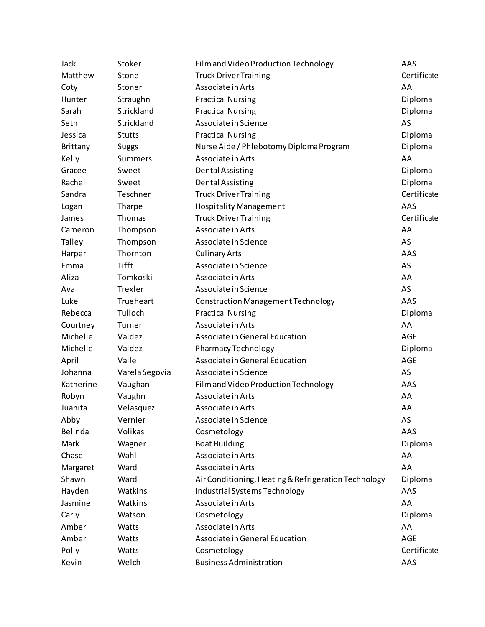| Jack            | Stoker         | Film and Video Production Technology                 | AAS         |
|-----------------|----------------|------------------------------------------------------|-------------|
| Matthew         | Stone          | <b>Truck Driver Training</b>                         | Certificate |
| Coty            | Stoner         | Associate in Arts                                    | AA          |
| Hunter          | Straughn       | <b>Practical Nursing</b>                             | Diploma     |
| Sarah           | Strickland     | <b>Practical Nursing</b>                             | Diploma     |
| Seth            | Strickland     | Associate in Science                                 | AS          |
| Jessica         | <b>Stutts</b>  | <b>Practical Nursing</b>                             | Diploma     |
| <b>Brittany</b> | Suggs          | Nurse Aide / Phlebotomy Diploma Program              | Diploma     |
| Kelly           | <b>Summers</b> | Associate in Arts                                    | AA          |
| Gracee          | Sweet          | <b>Dental Assisting</b>                              | Diploma     |
| Rachel          | Sweet          | <b>Dental Assisting</b>                              | Diploma     |
| Sandra          | Teschner       | <b>Truck Driver Training</b>                         | Certificate |
| Logan           | Tharpe         | <b>Hospitality Management</b>                        | AAS         |
| James           | Thomas         | <b>Truck Driver Training</b>                         | Certificate |
| Cameron         | Thompson       | Associate in Arts                                    | AA          |
| Talley          | Thompson       | Associate in Science                                 | AS          |
| Harper          | Thornton       | <b>Culinary Arts</b>                                 | AAS         |
| Emma            | <b>Tifft</b>   | Associate in Science                                 | AS          |
| Aliza           | Tomkoski       | Associate in Arts                                    | AA          |
| Ava             | Trexler        | Associate in Science                                 | AS          |
| Luke            | Trueheart      | Construction Management Technology                   | AAS         |
| Rebecca         | Tulloch        | <b>Practical Nursing</b>                             | Diploma     |
| Courtney        | Turner         | Associate in Arts                                    | AA          |
| Michelle        | Valdez         | Associate in General Education                       | <b>AGE</b>  |
| Michelle        | Valdez         | <b>Pharmacy Technology</b>                           | Diploma     |
| April           | Valle          | Associate in General Education                       | <b>AGE</b>  |
| Johanna         | Varela Segovia | Associate in Science                                 | AS          |
| Katherine       | Vaughan        | Film and Video Production Technology                 | AAS         |
| Robyn           | Vaughn         | Associate in Arts                                    | AA          |
| Juanita         | Velasquez      | Associate in Arts                                    | AA          |
| Abby            | Vernier        | Associate in Science                                 | AS          |
| Belinda         | Volikas        | Cosmetology                                          | AAS         |
| Mark            | Wagner         | <b>Boat Building</b>                                 | Diploma     |
| Chase           | Wahl           | Associate in Arts                                    | AA          |
| Margaret        | Ward           | Associate in Arts                                    | AA          |
| Shawn           | Ward           | Air Conditioning, Heating & Refrigeration Technology | Diploma     |
| Hayden          | Watkins        | Industrial Systems Technology                        | AAS         |
| Jasmine         | Watkins        | Associate in Arts                                    | AA          |
| Carly           | Watson         | Cosmetology                                          | Diploma     |
| Amber           | Watts          | Associate in Arts                                    | AA          |
| Amber           | Watts          | Associate in General Education                       | <b>AGE</b>  |
| Polly           | Watts          | Cosmetology                                          | Certificate |
| Kevin           | Welch          | <b>Business Administration</b>                       | AAS         |